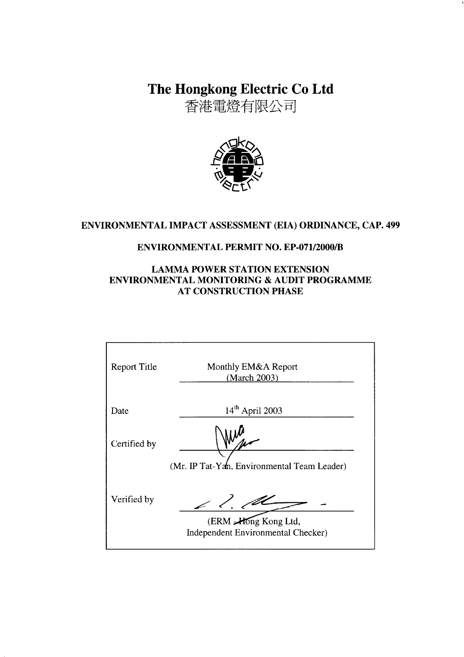The Hongkong Electric Co Ltd

香港電燈有限公司



# ENVIRONMENTAL IMPACT ASSESSMENT (EIA) ORDINANCE, CAP. 499

# **ENVIRONMENTAL PERMIT NO. EP-071/2000/B**

## **LAMMA POWER STATION EXTENSION** ENVIRONMENTAL MONITORING & AUDIT PROGRAMME **AT CONSTRUCTION PHASE**

| <b>Report Title</b> | Monthly EM&A Report<br>(March 2003)                        |
|---------------------|------------------------------------------------------------|
| Date                | $14th$ April 2003                                          |
| Certified by        |                                                            |
|                     | (Mr. IP Tat-Yan, Environmental Team Leader)                |
| Verified by         | $\angle$ 1. 1                                              |
|                     | (ERM -Hong Kong Ltd,<br>Independent Environmental Checker) |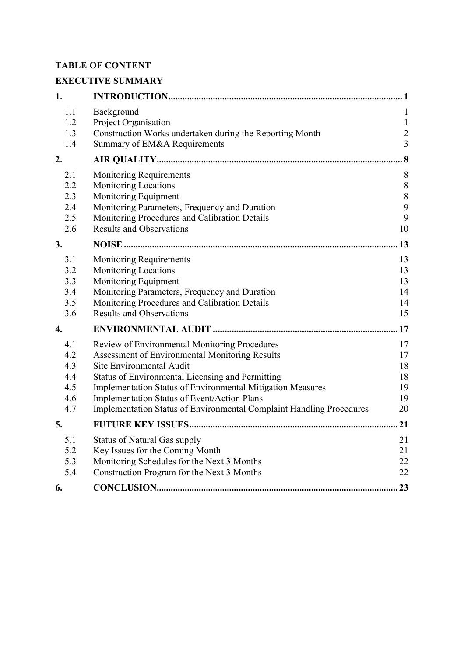# **TABLE OF CONTENT**

# **EXECUTIVE SUMMARY**

| 1.                                            |                                                                                                                                                                                                                                                                                                                                                                      |                                                       |
|-----------------------------------------------|----------------------------------------------------------------------------------------------------------------------------------------------------------------------------------------------------------------------------------------------------------------------------------------------------------------------------------------------------------------------|-------------------------------------------------------|
| 1.1<br>1.2<br>1.3<br>1.4                      | Background<br>Project Organisation<br>Construction Works undertaken during the Reporting Month<br>Summary of EM&A Requirements                                                                                                                                                                                                                                       | 1<br>$\mathbf{1}$<br>$\overline{c}$<br>$\overline{3}$ |
| 2.                                            |                                                                                                                                                                                                                                                                                                                                                                      | . 8                                                   |
| 2.1<br>2.2<br>2.3<br>2.4<br>2.5<br>2.6        | <b>Monitoring Requirements</b><br><b>Monitoring Locations</b><br>Monitoring Equipment<br>Monitoring Parameters, Frequency and Duration<br>Monitoring Procedures and Calibration Details<br><b>Results and Observations</b>                                                                                                                                           | 8<br>$\,8\,$<br>$\,$ $\,$<br>9<br>9<br>10             |
| 3.                                            |                                                                                                                                                                                                                                                                                                                                                                      | 13                                                    |
| 3.1<br>3.2<br>3.3<br>3.4<br>3.5<br>3.6        | <b>Monitoring Requirements</b><br><b>Monitoring Locations</b><br>Monitoring Equipment<br>Monitoring Parameters, Frequency and Duration<br>Monitoring Procedures and Calibration Details<br><b>Results and Observations</b>                                                                                                                                           | 13<br>13<br>13<br>14<br>14<br>15                      |
| 4.                                            |                                                                                                                                                                                                                                                                                                                                                                      | .17                                                   |
| 4.1<br>4.2<br>4.3<br>4.4<br>4.5<br>4.6<br>4.7 | Review of Environmental Monitoring Procedures<br>Assessment of Environmental Monitoring Results<br>Site Environmental Audit<br>Status of Environmental Licensing and Permitting<br>Implementation Status of Environmental Mitigation Measures<br>Implementation Status of Event/Action Plans<br>Implementation Status of Environmental Complaint Handling Procedures | 17<br>17<br>18<br>18<br>19<br>19<br>20                |
| 5.                                            |                                                                                                                                                                                                                                                                                                                                                                      | 21                                                    |
| 5.1<br>5.2<br>5.3<br>5.4                      | <b>Status of Natural Gas supply</b><br>Key Issues for the Coming Month<br>Monitoring Schedules for the Next 3 Months<br>Construction Program for the Next 3 Months                                                                                                                                                                                                   | 21<br>21<br>22<br>22                                  |
| 6.                                            |                                                                                                                                                                                                                                                                                                                                                                      | 23                                                    |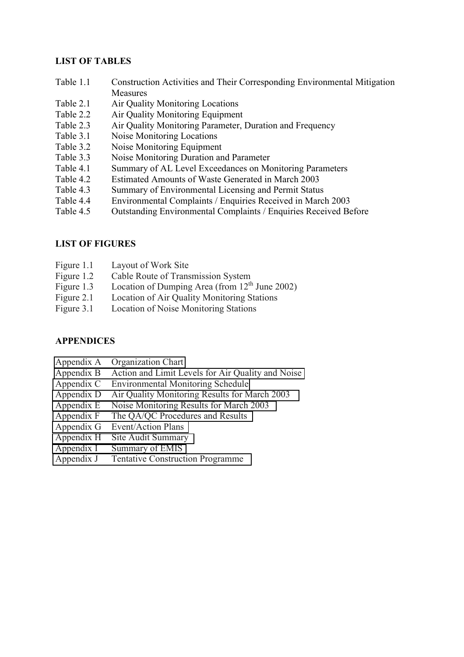## **LIST OF TABLES**

- Table 1.1 Construction Activities and Their Corresponding Environmental Mitigation Measures
- Table 2.1 Air Quality Monitoring Locations
- Table 2.2 Air Quality Monitoring Equipment
- Table 2.3 Air Quality Monitoring Parameter, Duration and Frequency
- Table 3.1 Noise Monitoring Locations
- Table 3.2 Noise Monitoring Equipment
- Table 3.3 Noise Monitoring Duration and Parameter
- Table 4.1 Summary of AL Level Exceedances on Monitoring Parameters
- Table 4.2 Estimated Amounts of Waste Generated in March 2003
- Table 4.3 Summary of Environmental Licensing and Permit Status
- Table 4.4 Environmental Complaints / Enquiries Received in March 2003
- Table 4.5 Outstanding Environmental Complaints / Enquiries Received Before

## **LIST OF FIGURES**

- Figure 1.1 Layout of Work Site
- Figure 1.2 Cable Route of Transmission System
- Figure 1.3 Location of Dumping Area (from  $12<sup>th</sup>$  June 2002)
- Figure 2.1 Location of Air Quality Monitoring Stations
- Figure 3.1 Location of Noise Monitoring Stations

## **APPENDICES**

- Appendix A Organization Chart
- Appendix B Action and Limit Levels for Air Quality and Noise
- Appendix C Environmental Monitoring Schedule
- Appendix D Air Quality Monitoring Results for March 2003
- Appendix E Noise Monitoring Results for March 2003
- Appendix F The QA/QC Procedures and Results
- Appendix G Event/Action Plans
- Appendix H Site Audit Summary
- Appendix I Summary of EMIS
- Appendix J Tentative Construction Programme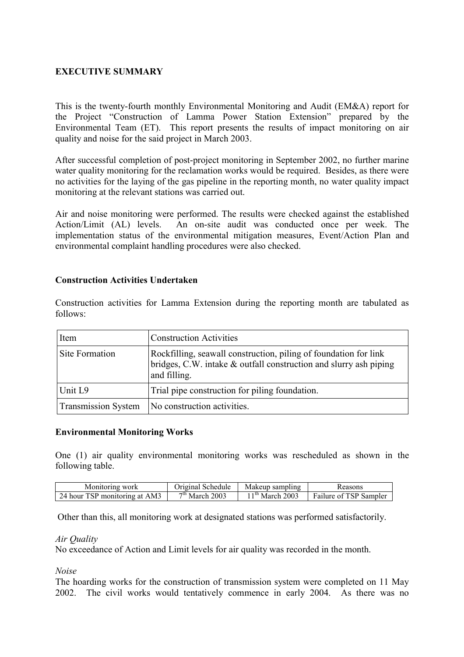## **EXECUTIVE SUMMARY**

This is the twenty-fourth monthly Environmental Monitoring and Audit (EM&A) report for the Project "Construction of Lamma Power Station Extension" prepared by the Environmental Team (ET). This report presents the results of impact monitoring on air quality and noise for the said project in March 2003.

After successful completion of post-project monitoring in September 2002, no further marine water quality monitoring for the reclamation works would be required. Besides, as there were no activities for the laying of the gas pipeline in the reporting month, no water quality impact monitoring at the relevant stations was carried out.

Air and noise monitoring were performed. The results were checked against the established Action/Limit (AL) levels. An on-site audit was conducted once per week. The implementation status of the environmental mitigation measures, Event/Action Plan and environmental complaint handling procedures were also checked.

#### **Construction Activities Undertaken**

Construction activities for Lamma Extension during the reporting month are tabulated as follows:

| Item                       | <b>Construction Activities</b>                                                                                                                        |
|----------------------------|-------------------------------------------------------------------------------------------------------------------------------------------------------|
| Site Formation             | Rockfilling, seawall construction, piling of foundation for link<br>bridges, C.W. intake & outfall construction and slurry ash piping<br>and filling. |
| Unit L9                    | Trial pipe construction for piling foundation.                                                                                                        |
| <b>Transmission System</b> | No construction activities.                                                                                                                           |

#### **Environmental Monitoring Works**

One (1) air quality environmental monitoring works was rescheduled as shown in the following table.

| Monitoring work               | Original Schedule | Makeup sampling  | Reasons                |
|-------------------------------|-------------------|------------------|------------------------|
| 24 hour TSP monitoring at AM3 | $7th$ March 2003  | $1th$ March 2003 | Failure of TSP Sampler |

Other than this, all monitoring work at designated stations was performed satisfactorily.

#### *Air Quality*

No exceedance of Action and Limit levels for air quality was recorded in the month.

*Noise* 

The hoarding works for the construction of transmission system were completed on 11 May 2002. The civil works would tentatively commence in early 2004. As there was no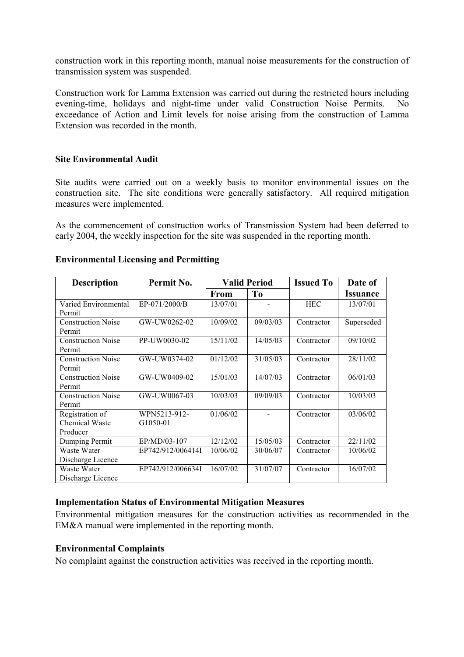construction work in this reporting month, manual noise measurements for the construction of transmission system was suspended.

Construction work for Lamma Extension was carried out during the restricted hours including evening-time, holidays and night-time under valid Construction Noise Permits. No exceedance of Action and Limit levels for noise arising from the construction of Lamma Extension was recorded in the month.

#### **Site Environmental Audit**

Site audits were carried out on a weekly basis to monitor environmental issues on the construction site. The site conditions were generally satisfactory. All required mitigation measures were implemented.

As the commencement of construction works of Transmission System had been deferred to early 2004, the weekly inspection for the site was suspended in the reporting month.

| <b>Description</b>                            | Permit No.               | <b>Valid Period</b> |                | <b>Issued To</b> | Date of                |
|-----------------------------------------------|--------------------------|---------------------|----------------|------------------|------------------------|
|                                               |                          | <b>From</b>         | T <sub>0</sub> |                  | <i><b>Issuance</b></i> |
| Varied Environmental<br>Permit                | EP-071/2000/B            | 13/07/01            |                | <b>HEC</b>       | 13/07/01               |
| <b>Construction Noise</b><br>Permit           | GW-UW0262-02             | 10/09/02            | 09/03/03       | Contractor       | Superseded             |
| <b>Construction Noise</b><br>Permit           | PP-UW0030-02             | 15/11/02            | 14/05/03       | Contractor       | 09/10/02               |
| <b>Construction Noise</b><br>Permit           | GW-UW0374-02             | 01/12/02            | 31/05/03       | Contractor       | 28/11/02               |
| <b>Construction Noise</b><br>Permit           | GW-UW0409-02             | 15/01/03            | 14/07/03       | Contractor       | 06/01/03               |
| <b>Construction Noise</b><br>Permit           | GW-UW0067-03             | 10/03/03            | 09/09/03       | Contractor       | 10/03/03               |
| Registration of<br>Chemical Waste<br>Producer | WPN5213-912-<br>G1050-01 | 01/06/02            |                | Contractor       | 03/06/02               |
| Dumping Permit                                | EP/MD/03-107             | 12/12/02            | 15/05/03       | Contractor       | 22/11/02               |
| Waste Water<br>Discharge Licence              | EP742/912/006414I        | 10/06/02            | 30/06/07       | Contractor       | 10/06/02               |
| Waste Water<br>Discharge Licence              | EP742/912/006634I        | 16/07/02            | 31/07/07       | Contractor       | 16/07/02               |

#### **Environmental Licensing and Permitting**

#### **Implementation Status of Environmental Mitigation Measures**

Environmental mitigation measures for the construction activities as recommended in the EM&A manual were implemented in the reporting month.

#### **Environmental Complaints**

No complaint against the construction activities was received in the reporting month.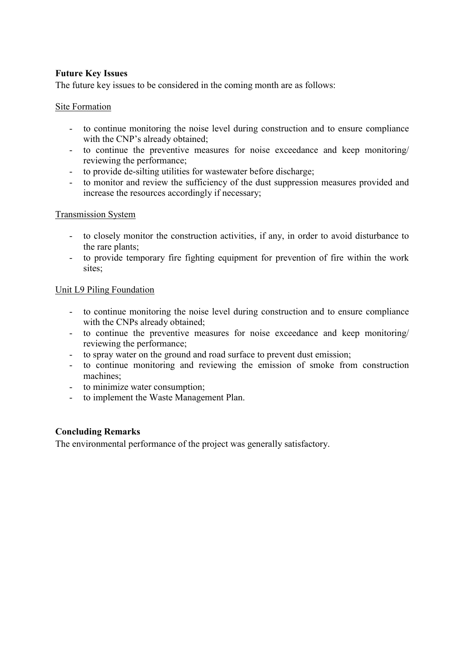## **Future Key Issues**

The future key issues to be considered in the coming month are as follows:

## Site Formation

- to continue monitoring the noise level during construction and to ensure compliance with the CNP's already obtained;
- to continue the preventive measures for noise exceedance and keep monitoring/ reviewing the performance;
- to provide de-silting utilities for wastewater before discharge;
- to monitor and review the sufficiency of the dust suppression measures provided and increase the resources accordingly if necessary;

#### Transmission System

- to closely monitor the construction activities, if any, in order to avoid disturbance to the rare plants;
- to provide temporary fire fighting equipment for prevention of fire within the work sites;

## Unit L9 Piling Foundation

- to continue monitoring the noise level during construction and to ensure compliance with the CNPs already obtained;
- to continue the preventive measures for noise exceedance and keep monitoring/ reviewing the performance;
- to spray water on the ground and road surface to prevent dust emission;
- to continue monitoring and reviewing the emission of smoke from construction machines;
- to minimize water consumption;
- to implement the Waste Management Plan.

## **Concluding Remarks**

The environmental performance of the project was generally satisfactory.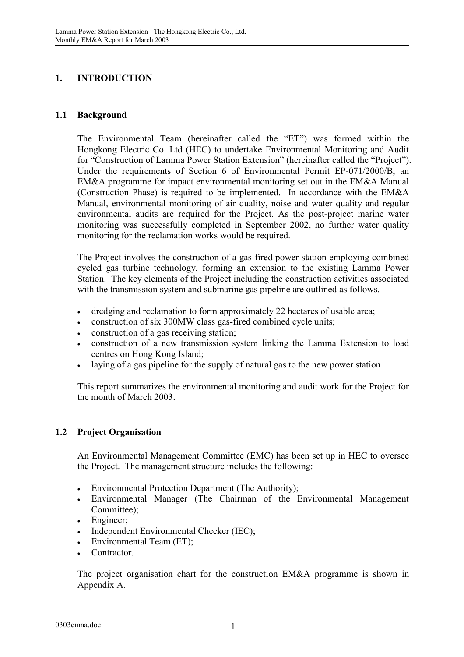# **1. INTRODUCTION**

## **1.1 Background**

The Environmental Team (hereinafter called the "ET") was formed within the Hongkong Electric Co. Ltd (HEC) to undertake Environmental Monitoring and Audit for "Construction of Lamma Power Station Extension" (hereinafter called the "Project"). Under the requirements of Section 6 of Environmental Permit EP-071/2000/B, an EM&A programme for impact environmental monitoring set out in the EM&A Manual (Construction Phase) is required to be implemented. In accordance with the EM&A Manual, environmental monitoring of air quality, noise and water quality and regular environmental audits are required for the Project. As the post-project marine water monitoring was successfully completed in September 2002, no further water quality monitoring for the reclamation works would be required.

The Project involves the construction of a gas-fired power station employing combined cycled gas turbine technology, forming an extension to the existing Lamma Power Station. The key elements of the Project including the construction activities associated with the transmission system and submarine gas pipeline are outlined as follows.

- dredging and reclamation to form approximately 22 hectares of usable area;
- construction of six 300MW class gas-fired combined cycle units;
- construction of a gas receiving station;
- construction of a new transmission system linking the Lamma Extension to load centres on Hong Kong Island;
- $\bullet$ laying of a gas pipeline for the supply of natural gas to the new power station

This report summarizes the environmental monitoring and audit work for the Project for the month of March 2003.

## **1.2 Project Organisation**

An Environmental Management Committee (EMC) has been set up in HEC to oversee the Project. The management structure includes the following:

- $\bullet$ Environmental Protection Department (The Authority);
- - Environmental Manager (The Chairman of the Environmental Management Committee);
- -Engineer;
- $\bullet$ Independent Environmental Checker (IEC);
- $\bullet$ Environmental Team (ET);
- -**Contractor**

The project organisation chart for the construction EM&A programme is shown in Appendix A.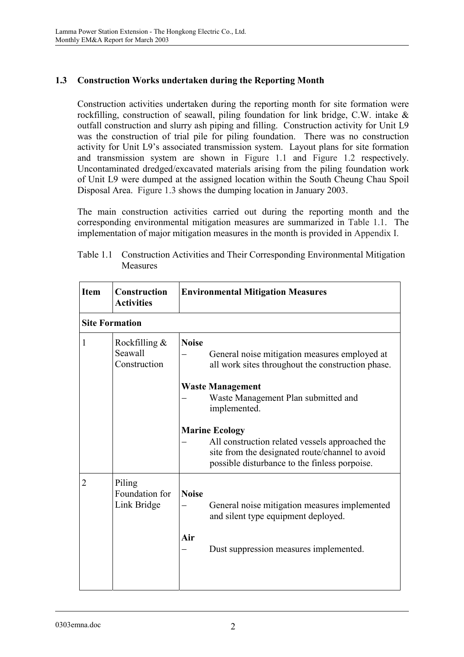## **1.3 Construction Works undertaken during the Reporting Month**

Construction activities undertaken during the reporting month for site formation were rockfilling, construction of seawall, piling foundation for link bridge, C.W. intake & outfall construction and slurry ash piping and filling. Construction activity for Unit L9 was the construction of trial pile for piling foundation. There was no construction activity for Unit L9's associated transmission system. Layout plans for site formation and transmission system are shown in Figure 1.1 and Figure 1.2 respectively. Uncontaminated dredged/excavated materials arising from the piling foundation work of Unit L9 were dumped at the assigned location within the South Cheung Chau Spoil Disposal Area. Figure 1.3 shows the dumping location in January 2003.

The main construction activities carried out during the reporting month and the corresponding environmental mitigation measures are summarized in Table 1.1. The implementation of major mitigation measures in the month is provided in Appendix I.

| <b>Item</b>  | <b>Construction</b><br><b>Activities</b>    | <b>Environmental Mitigation Measures</b>                                                                                                                                     |
|--------------|---------------------------------------------|------------------------------------------------------------------------------------------------------------------------------------------------------------------------------|
|              | <b>Site Formation</b>                       |                                                                                                                                                                              |
| $\mathbf{1}$ | Rockfilling $\&$<br>Seawall<br>Construction | <b>Noise</b><br>General noise mitigation measures employed at<br>all work sites throughout the construction phase.                                                           |
|              |                                             | <b>Waste Management</b><br>Waste Management Plan submitted and<br>implemented.                                                                                               |
|              |                                             | <b>Marine Ecology</b><br>All construction related vessels approached the<br>site from the designated route/channel to avoid<br>possible disturbance to the finless porpoise. |
| 2            | Piling<br>Foundation for<br>Link Bridge     | <b>Noise</b><br>General noise mitigation measures implemented<br>and silent type equipment deployed.<br>Air<br>Dust suppression measures implemented.                        |
|              |                                             |                                                                                                                                                                              |

Table 1.1 Construction Activities and Their Corresponding Environmental Mitigation **Measures**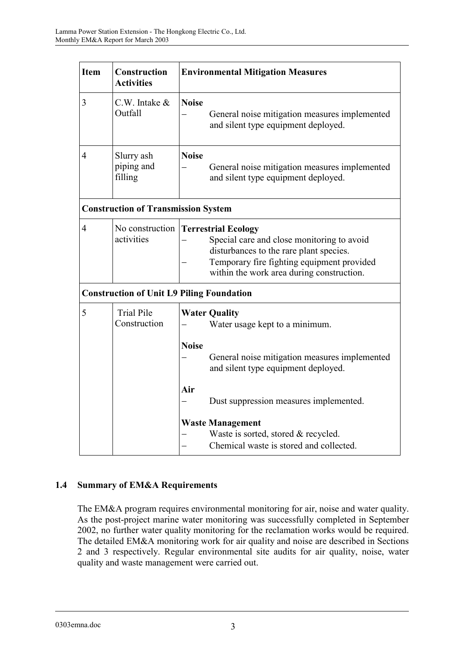| <b>Item</b>    | Construction<br><b>Activities</b>                |              | <b>Environmental Mitigation Measures</b>                                                                                                                                                                       |
|----------------|--------------------------------------------------|--------------|----------------------------------------------------------------------------------------------------------------------------------------------------------------------------------------------------------------|
| 3              | $C.W.$ Intake $&$<br>Outfall                     | <b>Noise</b> | General noise mitigation measures implemented<br>and silent type equipment deployed.                                                                                                                           |
| $\overline{4}$ | Slurry ash<br>piping and<br>filling              | <b>Noise</b> | General noise mitigation measures implemented<br>and silent type equipment deployed.                                                                                                                           |
|                | <b>Construction of Transmission System</b>       |              |                                                                                                                                                                                                                |
| $\overline{4}$ | No construction<br>activities                    |              | <b>Terrestrial Ecology</b><br>Special care and close monitoring to avoid<br>disturbances to the rare plant species.<br>Temporary fire fighting equipment provided<br>within the work area during construction. |
|                | <b>Construction of Unit L9 Piling Foundation</b> |              |                                                                                                                                                                                                                |
| 5              | <b>Trial Pile</b><br>Construction                | <b>Noise</b> | <b>Water Quality</b><br>Water usage kept to a minimum.                                                                                                                                                         |
|                |                                                  |              | General noise mitigation measures implemented<br>and silent type equipment deployed.                                                                                                                           |
|                |                                                  | Air          | Dust suppression measures implemented.                                                                                                                                                                         |
|                |                                                  |              | <b>Waste Management</b><br>Waste is sorted, stored & recycled.<br>Chemical waste is stored and collected.                                                                                                      |

# **1.4 Summary of EM&A Requirements**

The EM&A program requires environmental monitoring for air, noise and water quality. As the post-project marine water monitoring was successfully completed in September 2002, no further water quality monitoring for the reclamation works would be required. The detailed EM&A monitoring work for air quality and noise are described in Sections 2 and 3 respectively. Regular environmental site audits for air quality, noise, water quality and waste management were carried out.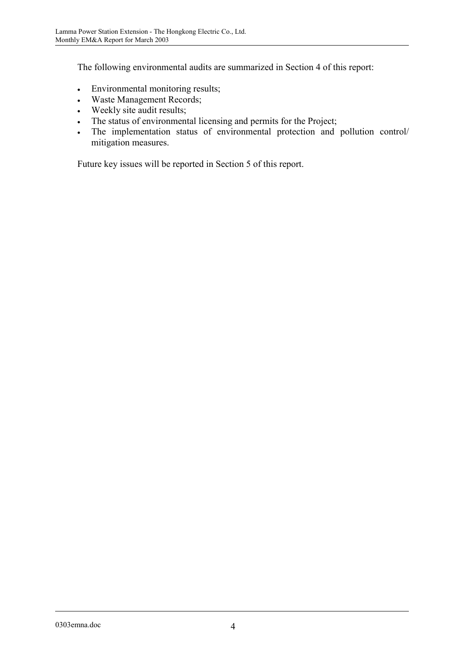The following environmental audits are summarized in Section 4 of this report:

- -Environmental monitoring results;
- -Waste Management Records;
- $\bullet$ Weekly site audit results;
- $\bullet$ The status of environmental licensing and permits for the Project;
- $\bullet$  The implementation status of environmental protection and pollution control/ mitigation measures.

Future key issues will be reported in Section 5 of this report.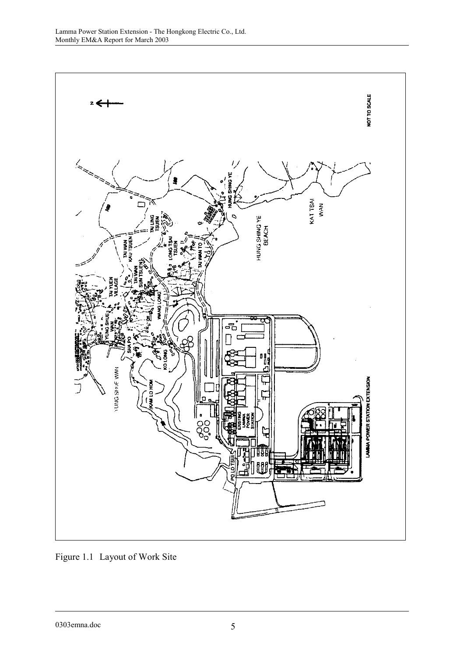

Figure 1.1 Layout of Work Site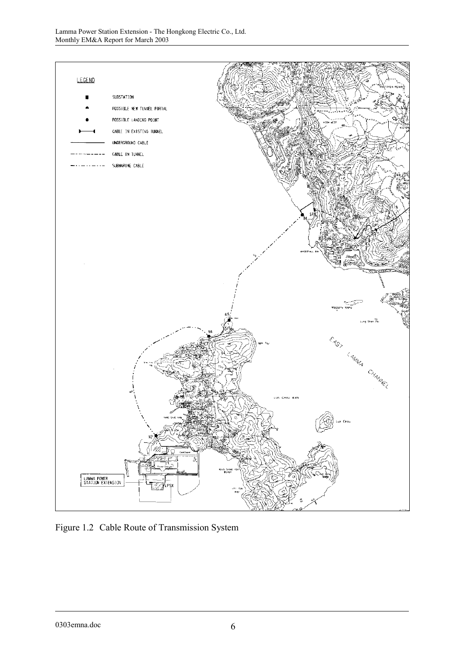

Figure 1.2 Cable Route of Transmission System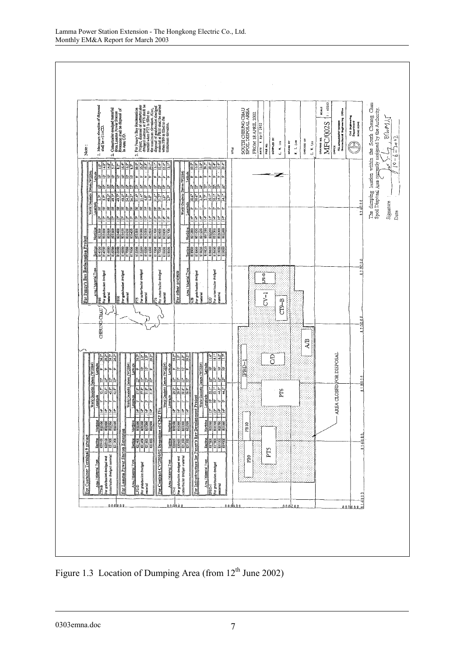

Figure 1.3 Location of Dumping Area (from 12<sup>th</sup> June 2002)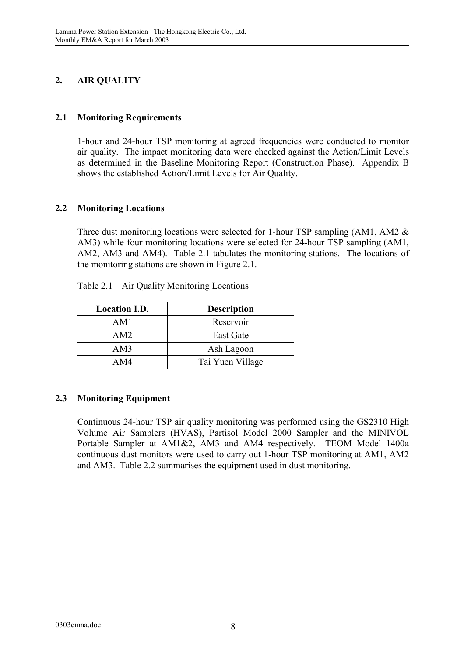# **2. AIR QUALITY**

## **2.1 Monitoring Requirements**

1-hour and 24-hour TSP monitoring at agreed frequencies were conducted to monitor air quality. The impact monitoring data were checked against the Action/Limit Levels as determined in the Baseline Monitoring Report (Construction Phase). Appendix B shows the established Action/Limit Levels for Air Quality.

## **2.2 Monitoring Locations**

Three dust monitoring locations were selected for 1-hour TSP sampling (AM1, AM2 & AM3) while four monitoring locations were selected for 24-hour TSP sampling (AM1, AM2, AM3 and AM4). Table 2.1 tabulates the monitoring stations. The locations of the monitoring stations are shown in Figure 2.1.

| <b>Location I.D.</b> | <b>Description</b> |
|----------------------|--------------------|
| AM1                  | Reservoir          |
| AM2                  | East Gate          |
| AM3                  | Ash Lagoon         |
| AM4                  | Tai Yuen Village   |

Table 2.1 Air Quality Monitoring Locations

# **2.3 Monitoring Equipment**

Continuous 24-hour TSP air quality monitoring was performed using the GS2310 High Volume Air Samplers (HVAS), Partisol Model 2000 Sampler and the MINIVOL Portable Sampler at AM1&2, AM3 and AM4 respectively. TEOM Model 1400a continuous dust monitors were used to carry out 1-hour TSP monitoring at AM1, AM2 and AM3. Table 2.2 summarises the equipment used in dust monitoring.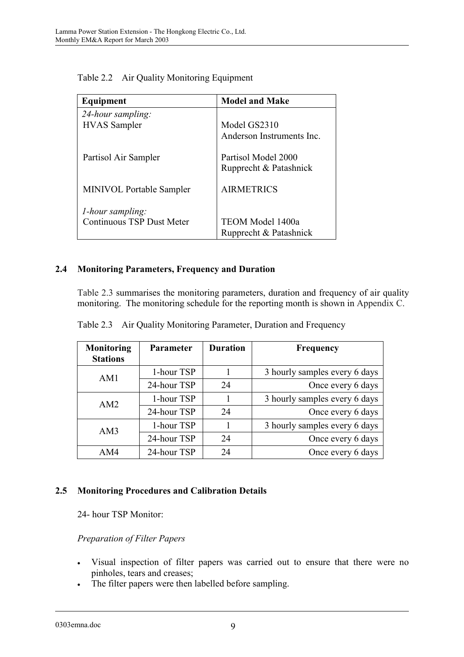| Equipment                                                    | <b>Model and Make</b>                         |  |
|--------------------------------------------------------------|-----------------------------------------------|--|
| 24-hour sampling:<br><b>HVAS</b> Sampler                     | Model GS2310<br>Anderson Instruments Inc.     |  |
| Partisol Air Sampler                                         | Partisol Model 2000<br>Rupprecht & Patashnick |  |
| <b>MINIVOL Portable Sampler</b>                              | <b>AIRMETRICS</b>                             |  |
| <i>l</i> -hour sampling:<br><b>Continuous TSP Dust Meter</b> | TEOM Model 1400a<br>Rupprecht & Patashnick    |  |

Table 2.2 Air Quality Monitoring Equipment

## **2.4 Monitoring Parameters, Frequency and Duration**

Table 2.3 summarises the monitoring parameters, duration and frequency of air quality monitoring. The monitoring schedule for the reporting month is shown in Appendix C.

| Monitoring<br><b>Stations</b> | <b>Parameter</b> | <b>Duration</b> | <b>Frequency</b>              |
|-------------------------------|------------------|-----------------|-------------------------------|
| AM1                           | 1-hour TSP       |                 | 3 hourly samples every 6 days |
|                               | 24-hour TSP      | 24              | Once every 6 days             |
| AM2                           | 1-hour TSP       |                 | 3 hourly samples every 6 days |
|                               | 24-hour TSP      | 24              | Once every 6 days             |
| AM3                           | 1-hour TSP       |                 | 3 hourly samples every 6 days |
|                               | 24-hour TSP      | 24              | Once every 6 days             |
| AM4                           | 24-hour TSP      | 24              | Once every 6 days             |

Table 2.3 Air Quality Monitoring Parameter, Duration and Frequency

## **2.5 Monitoring Procedures and Calibration Details**

24- hour TSP Monitor:

## *Preparation of Filter Papers*

- $\bullet$  Visual inspection of filter papers was carried out to ensure that there were no pinholes, tears and creases;
- $\bullet$ The filter papers were then labelled before sampling.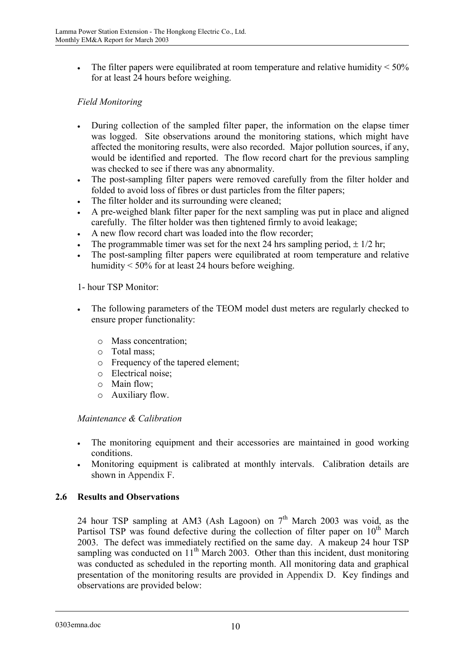$\bullet$ The filter papers were equilibrated at room temperature and relative humidity  $\leq 50\%$ for at least 24 hours before weighing.

## *Field Monitoring*

- - During collection of the sampled filter paper, the information on the elapse timer was logged. Site observations around the monitoring stations, which might have affected the monitoring results, were also recorded. Major pollution sources, if any, would be identified and reported. The flow record chart for the previous sampling was checked to see if there was any abnormality.
- $\bullet$  The post-sampling filter papers were removed carefully from the filter holder and folded to avoid loss of fibres or dust particles from the filter papers;
- -The filter holder and its surrounding were cleaned;
- - A pre-weighed blank filter paper for the next sampling was put in place and aligned carefully. The filter holder was then tightened firmly to avoid leakage;
- $\bullet$ A new flow record chart was loaded into the flow recorder;
- $\bullet$ The programmable timer was set for the next 24 hrs sampling period,  $\pm$  1/2 hr;
- $\bullet$  The post-sampling filter papers were equilibrated at room temperature and relative humidity < 50% for at least 24 hours before weighing.

1- hour TSP Monitor:

- $\bullet$  The following parameters of the TEOM model dust meters are regularly checked to ensure proper functionality:
	- o Mass concentration;
	- o Total mass;
	- o Frequency of the tapered element;
	- o Electrical noise;
	- o Main flow;
	- o Auxiliary flow.

#### *Maintenance & Calibration*

- $\bullet$  The monitoring equipment and their accessories are maintained in good working conditions.
- $\bullet$  Monitoring equipment is calibrated at monthly intervals. Calibration details are shown in Appendix F.

## **2.6 Results and Observations**

24 hour TSP sampling at AM3 (Ash Lagoon) on  $7<sup>th</sup>$  March 2003 was void, as the Partisol TSP was found defective during the collection of filter paper on  $10<sup>th</sup>$  March 2003. The defect was immediately rectified on the same day. A makeup 24 hour TSP sampling was conducted on  $11<sup>th</sup>$  March 2003. Other than this incident, dust monitoring was conducted as scheduled in the reporting month. All monitoring data and graphical presentation of the monitoring results are provided in Appendix D. Key findings and observations are provided below: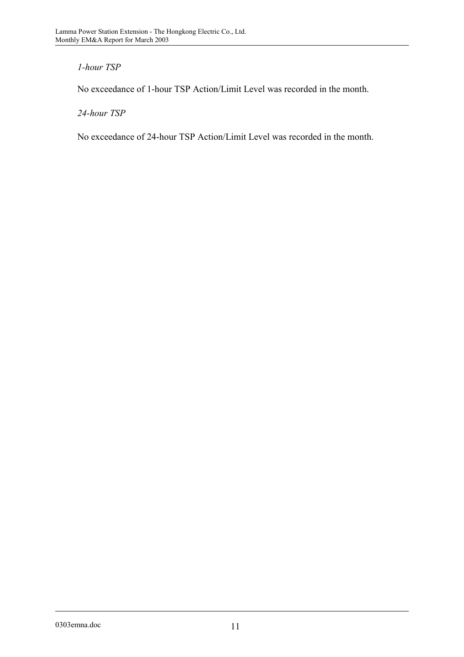# *1-hour TSP*

No exceedance of 1-hour TSP Action/Limit Level was recorded in the month.

*24-hour TSP* 

No exceedance of 24-hour TSP Action/Limit Level was recorded in the month.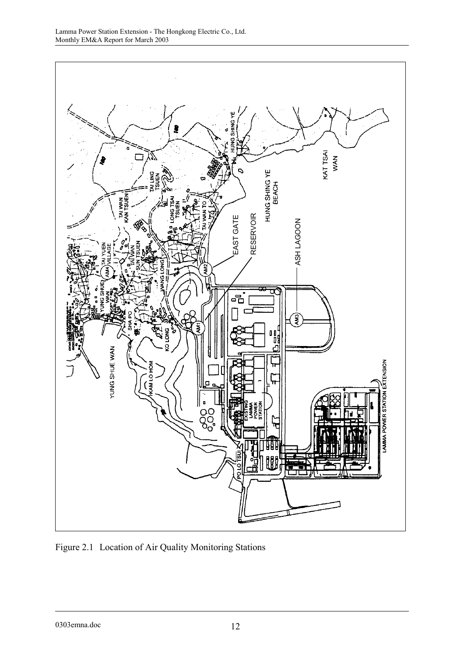

Figure 2.1 Location of Air Quality Monitoring Stations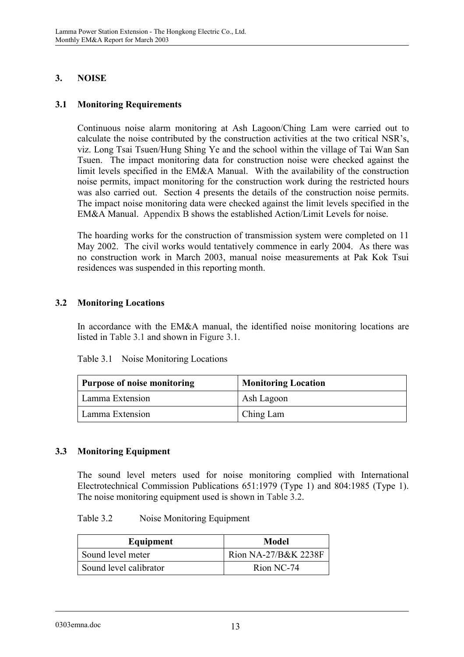## **3. NOISE**

## **3.1 Monitoring Requirements**

Continuous noise alarm monitoring at Ash Lagoon/Ching Lam were carried out to calculate the noise contributed by the construction activities at the two critical NSR's, viz. Long Tsai Tsuen/Hung Shing Ye and the school within the village of Tai Wan San Tsuen. The impact monitoring data for construction noise were checked against the limit levels specified in the EM&A Manual. With the availability of the construction noise permits, impact monitoring for the construction work during the restricted hours was also carried out. Section 4 presents the details of the construction noise permits. The impact noise monitoring data were checked against the limit levels specified in the EM&A Manual. Appendix B shows the established Action/Limit Levels for noise.

The hoarding works for the construction of transmission system were completed on 11 May 2002. The civil works would tentatively commence in early 2004. As there was no construction work in March 2003, manual noise measurements at Pak Kok Tsui residences was suspended in this reporting month.

## **3.2 Monitoring Locations**

In accordance with the EM&A manual, the identified noise monitoring locations are listed in Table 3.1 and shown in Figure 3.1.

| Table 3.1<br>Noise Monitoring Locations |  |
|-----------------------------------------|--|
|-----------------------------------------|--|

| Purpose of noise monitoring | <b>Monitoring Location</b> |  |
|-----------------------------|----------------------------|--|
| Lamma Extension             | Ash Lagoon                 |  |
| Lamma Extension             | Ching Lam                  |  |

## **3.3 Monitoring Equipment**

The sound level meters used for noise monitoring complied with International Electrotechnical Commission Publications 651:1979 (Type 1) and 804:1985 (Type 1). The noise monitoring equipment used is shown in Table 3.2.

#### Table 3.2 Noise Monitoring Equipment

| Equipment              | <b>Model</b>         |
|------------------------|----------------------|
| Sound level meter      | Rion NA-27/B&K 2238F |
| Sound level calibrator | Rion NC-74           |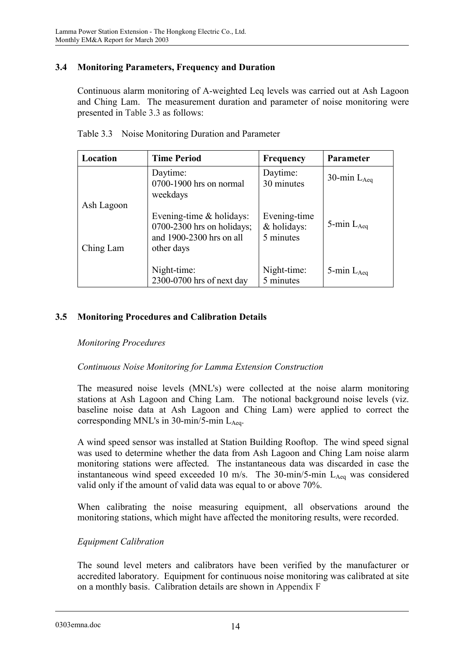## **3.4 Monitoring Parameters, Frequency and Duration**

Continuous alarm monitoring of A-weighted Leq levels was carried out at Ash Lagoon and Ching Lam. The measurement duration and parameter of noise monitoring were presented in Table 3.3 as follows:

| Location                | <b>Time Period</b>                                                                                    | <b>Frequency</b>                         | Parameter        |
|-------------------------|-------------------------------------------------------------------------------------------------------|------------------------------------------|------------------|
|                         | Daytime:<br>0700-1900 hrs on normal<br>weekdays                                                       | Daytime:<br>30 minutes                   | 30-min $L_{Aea}$ |
| Ash Lagoon<br>Ching Lam | Evening-time $\&$ holidays:<br>$0700-2300$ hrs on holidays;<br>and 1900-2300 hrs on all<br>other days | Evening-time<br>& holidays:<br>5 minutes | 5-min $L_{Aeq}$  |
|                         | Night-time:<br>2300-0700 hrs of next day                                                              | Night-time:<br>5 minutes                 | 5-min $L_{Aea}$  |

Table 3.3 Noise Monitoring Duration and Parameter

## **3.5 Monitoring Procedures and Calibration Details**

## *Monitoring Procedures*

## *Continuous Noise Monitoring for Lamma Extension Construction*

The measured noise levels (MNL's) were collected at the noise alarm monitoring stations at Ash Lagoon and Ching Lam. The notional background noise levels (viz. baseline noise data at Ash Lagoon and Ching Lam) were applied to correct the corresponding MNL's in 30-min/5-min  $L_{Aea}$ .

A wind speed sensor was installed at Station Building Rooftop. The wind speed signal was used to determine whether the data from Ash Lagoon and Ching Lam noise alarm monitoring stations were affected. The instantaneous data was discarded in case the instantaneous wind speed exceeded 10 m/s. The 30-min/5-min  $L_{A_{eq}}$  was considered valid only if the amount of valid data was equal to or above 70%.

When calibrating the noise measuring equipment, all observations around the monitoring stations, which might have affected the monitoring results, were recorded.

## *Equipment Calibration*

The sound level meters and calibrators have been verified by the manufacturer or accredited laboratory. Equipment for continuous noise monitoring was calibrated at site on a monthly basis. Calibration details are shown in Appendix F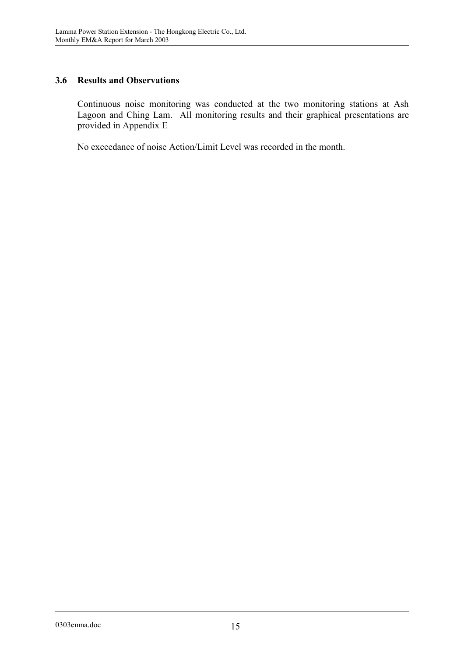## **3.6 Results and Observations**

Continuous noise monitoring was conducted at the two monitoring stations at Ash Lagoon and Ching Lam. All monitoring results and their graphical presentations are provided in Appendix E

No exceedance of noise Action/Limit Level was recorded in the month.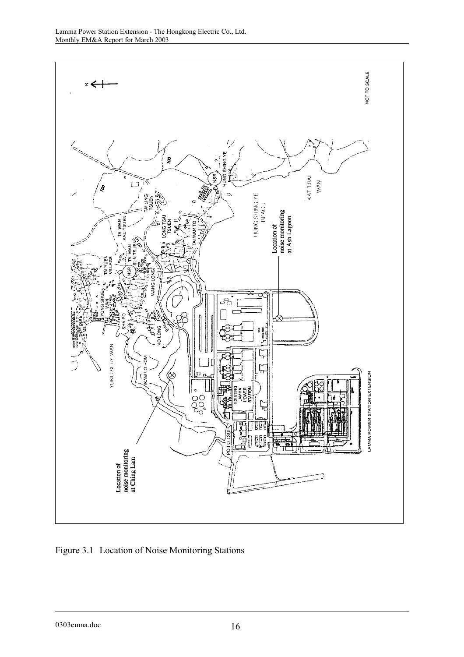

Figure 3.1 Location of Noise Monitoring Stations

0303emna.doc 16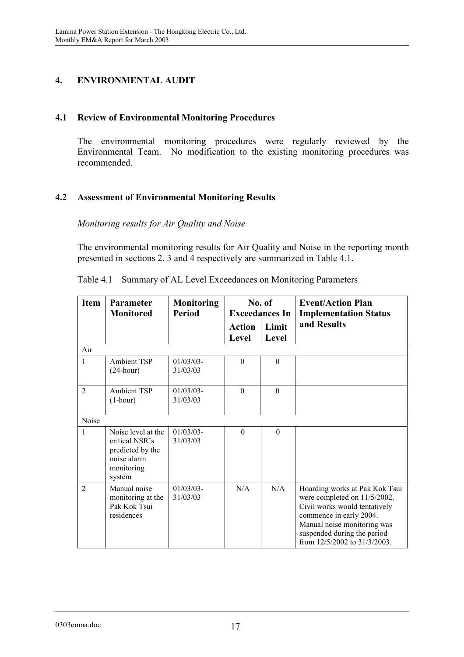# **4. ENVIRONMENTAL AUDIT**

## **4.1 Review of Environmental Monitoring Procedures**

The environmental monitoring procedures were regularly reviewed by the Environmental Team. No modification to the existing monitoring procedures was recommended.

## **4.2 Assessment of Environmental Monitoring Results**

*Monitoring results for Air Quality and Noise* 

The environmental monitoring results for Air Quality and Noise in the reporting month presented in sections 2, 3 and 4 respectively are summarized in Table 4.1.

| <b>Item</b>    | <b>Parameter</b><br><b>Monitored</b>                                                            | <b>Monitoring</b><br><b>Period</b> | No. of<br><b>Exceedances In</b> |                | <b>Event/Action Plan</b><br><b>Implementation Status</b>                                                                                                                                                                 |
|----------------|-------------------------------------------------------------------------------------------------|------------------------------------|---------------------------------|----------------|--------------------------------------------------------------------------------------------------------------------------------------------------------------------------------------------------------------------------|
|                |                                                                                                 |                                    | <b>Action</b><br>Level          | Limit<br>Level | and Results                                                                                                                                                                                                              |
| Air            |                                                                                                 |                                    |                                 |                |                                                                                                                                                                                                                          |
| 1              | <b>Ambient TSP</b><br>$(24$ -hour)                                                              | $01/03/03$ -<br>31/03/03           | $\theta$                        | $\theta$       |                                                                                                                                                                                                                          |
| $\overline{2}$ | <b>Ambient TSP</b><br>$(1-hour)$                                                                | $01/03/03$ -<br>31/03/03           | $\theta$                        | $\theta$       |                                                                                                                                                                                                                          |
| Noise          |                                                                                                 |                                    |                                 |                |                                                                                                                                                                                                                          |
| 1              | Noise level at the<br>critical NSR's<br>predicted by the<br>noise alarm<br>monitoring<br>system | $01/03/03$ -<br>31/03/03           | $\theta$                        | $\theta$       |                                                                                                                                                                                                                          |
| $\overline{2}$ | Manual noise<br>monitoring at the<br>Pak Kok Tsui<br>residences                                 | $01/03/03$ -<br>31/03/03           | N/A                             | N/A            | Hoarding works at Pak Kok Tsui<br>were completed on 11/5/2002.<br>Civil works would tentatively<br>commence in early 2004.<br>Manual noise monitoring was<br>suspended during the period<br>from 12/5/2002 to 31/3/2003. |

Table 4.1 Summary of AL Level Exceedances on Monitoring Parameters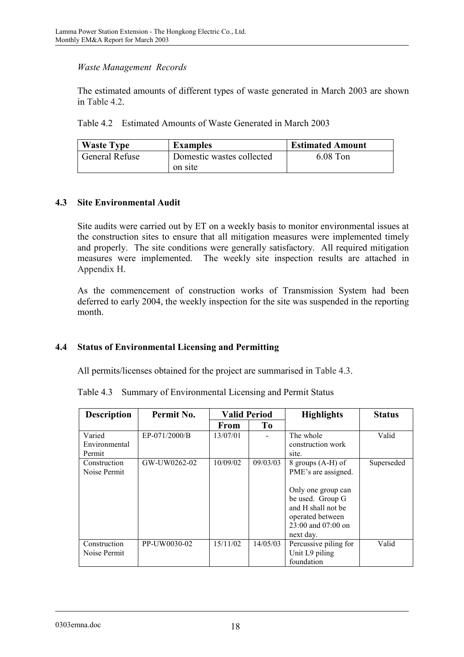## *Waste Management Records*

The estimated amounts of different types of waste generated in March 2003 are shown in Table 4.2.

Table 4.2 Estimated Amounts of Waste Generated in March 2003

| <b>Waste Type</b> | <b>Examples</b>           | <b>Estimated Amount</b> |
|-------------------|---------------------------|-------------------------|
| General Refuse    | Domestic wastes collected | $6.08$ Ton              |
|                   | on site                   |                         |

## **4.3 Site Environmental Audit**

Site audits were carried out by ET on a weekly basis to monitor environmental issues at the construction sites to ensure that all mitigation measures were implemented timely and properly. The site conditions were generally satisfactory. All required mitigation measures were implemented. The weekly site inspection results are attached in Appendix H.

As the commencement of construction works of Transmission System had been deferred to early 2004, the weekly inspection for the site was suspended in the reporting month.

# **4.4 Status of Environmental Licensing and Permitting**

All permits/licenses obtained for the project are summarised in Table 4.3.

|  |  |  |  | Table 4.3 Summary of Environmental Licensing and Permit Status |
|--|--|--|--|----------------------------------------------------------------|
|--|--|--|--|----------------------------------------------------------------|

| <b>Description</b> | Permit No.    | <b>Valid Period</b> |                |                        |            | <b>Highlights</b> | <b>Status</b> |
|--------------------|---------------|---------------------|----------------|------------------------|------------|-------------------|---------------|
|                    |               | <b>From</b>         | T <sub>0</sub> |                        |            |                   |               |
| Varied             | EP-071/2000/B | 13/07/01            |                | The whole              | Valid      |                   |               |
| Environmental      |               |                     |                | construction work      |            |                   |               |
| Permit             |               |                     |                | site.                  |            |                   |               |
| Construction       | GW-UW0262-02  | 10/09/02            | 09/03/03       | 8 groups (A-H) of      | Superseded |                   |               |
| Noise Permit       |               |                     |                | PME's are assigned.    |            |                   |               |
|                    |               |                     |                |                        |            |                   |               |
|                    |               |                     |                | Only one group can     |            |                   |               |
|                    |               |                     |                | be used. Group G       |            |                   |               |
|                    |               |                     |                | and H shall not be     |            |                   |               |
|                    |               |                     |                | operated between       |            |                   |               |
|                    |               |                     |                | $23:00$ and $07:00$ on |            |                   |               |
|                    |               |                     |                | next day.              |            |                   |               |
| Construction       | PP-UW0030-02  | 15/11/02            | 14/05/03       | Percussive piling for  | Valid      |                   |               |
| Noise Permit       |               |                     |                | Unit L9 piling         |            |                   |               |
|                    |               |                     |                | foundation             |            |                   |               |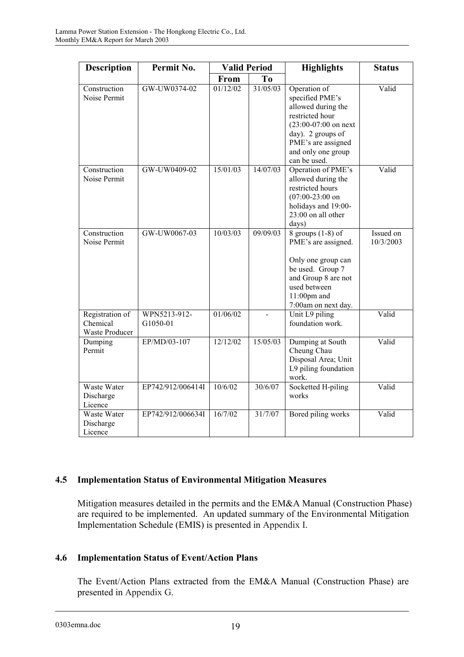| <b>Description</b>                                   | Permit No.               | <b>Valid Period</b> |                | <b>Highlights</b>                                                                                                                                                                    | <b>Status</b>          |
|------------------------------------------------------|--------------------------|---------------------|----------------|--------------------------------------------------------------------------------------------------------------------------------------------------------------------------------------|------------------------|
|                                                      |                          | From                | T <sub>0</sub> |                                                                                                                                                                                      |                        |
| Construction<br>Noise Permit                         | GW-UW0374-02             | 01/12/02            | 31/05/03       | Operation of<br>specified PME's<br>allowed during the<br>restricted hour<br>$(23:00-07:00)$ on next<br>day). 2 groups of<br>PME's are assigned<br>and only one group<br>can be used. | Valid                  |
| Construction<br>Noise Permit                         | GW-UW0409-02             | 15/01/03            | 14/07/03       | Operation of PME's<br>allowed during the<br>restricted hours<br>$(07:00-23:00)$ on<br>holidays and 19:00-<br>23:00 on all other<br>days)                                             | Valid                  |
| Construction<br>Noise Permit                         | GW-UW0067-03             | 10/03/03            | 09/09/03       | 8 groups $(1-8)$ of<br>PME's are assigned.<br>Only one group can<br>be used. Group 7<br>and Group 8 are not<br>used between<br>$11:00$ pm and<br>7:00am on next day.                 | Issued on<br>10/3/2003 |
| Registration of<br>Chemical<br><b>Waste Producer</b> | WPN5213-912-<br>G1050-01 | 01/06/02            |                | Unit L9 piling<br>foundation work.                                                                                                                                                   | Valid                  |
| Dumping<br>Permit                                    | EP/MD/03-107             | 12/12/02            | 15/05/03       | Dumping at South<br>Cheung Chau<br>Disposal Area; Unit<br>L9 piling foundation<br>work.                                                                                              | Valid                  |
| Waste Water<br>Discharge<br>Licence                  | EP742/912/006414I        | 10/6/02             | 30/6/07        | Socketted H-piling<br>works                                                                                                                                                          | Valid                  |
| Waste Water<br>Discharge<br>Licence                  | EP742/912/006634I        | 16/7/02             | 31/7/07        | Bored piling works                                                                                                                                                                   | Valid                  |

## **4.5 Implementation Status of Environmental Mitigation Measures**

Mitigation measures detailed in the permits and the EM&A Manual (Construction Phase) are required to be implemented. An updated summary of the Environmental Mitigation Implementation Schedule (EMIS) is presented in Appendix I.

# **4.6 Implementation Status of Event/Action Plans**

The Event/Action Plans extracted from the EM&A Manual (Construction Phase) are presented in Appendix G.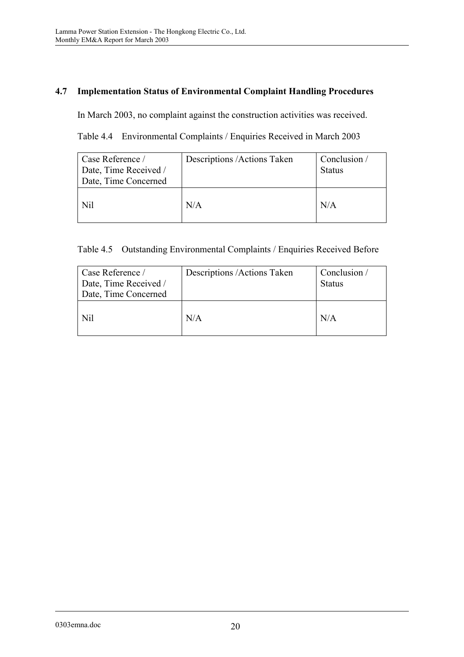# **4.7 Implementation Status of Environmental Complaint Handling Procedures**

In March 2003, no complaint against the construction activities was received.

Table 4.4 Environmental Complaints / Enquiries Received in March 2003

| Case Reference /<br>Date, Time Received /<br>Date, Time Concerned | Descriptions /Actions Taken | Conclusion /<br><b>Status</b> |
|-------------------------------------------------------------------|-----------------------------|-------------------------------|
| Nil                                                               | N/A                         | N/A                           |

| Case Reference /<br>Date, Time Received /<br>Date, Time Concerned | Descriptions /Actions Taken | Conclusion /<br><b>Status</b> |
|-------------------------------------------------------------------|-----------------------------|-------------------------------|
| Nil                                                               | N/A                         | N/A                           |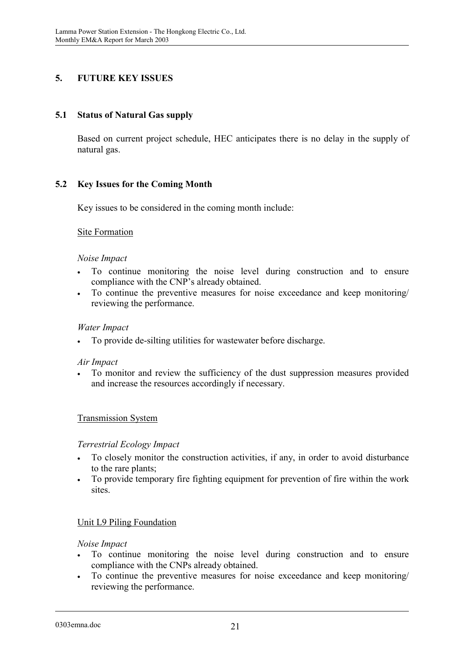# **5. FUTURE KEY ISSUES**

## **5.1 Status of Natural Gas supply**

Based on current project schedule, HEC anticipates there is no delay in the supply of natural gas.

## **5.2 Key Issues for the Coming Month**

Key issues to be considered in the coming month include:

## Site Formation

#### *Noise Impact*

- $\bullet$  To continue monitoring the noise level during construction and to ensure compliance with the CNP's already obtained.
- $\bullet$  To continue the preventive measures for noise exceedance and keep monitoring/ reviewing the performance.

#### *Water Impact*

-To provide de-silting utilities for wastewater before discharge.

#### *Air Impact*

 $\bullet$  To monitor and review the sufficiency of the dust suppression measures provided and increase the resources accordingly if necessary.

## Transmission System

#### *Terrestrial Ecology Impact*

- $\bullet$  To closely monitor the construction activities, if any, in order to avoid disturbance to the rare plants;
- - To provide temporary fire fighting equipment for prevention of fire within the work sites.

## Unit L9 Piling Foundation

#### *Noise Impact*

- $\bullet$  To continue monitoring the noise level during construction and to ensure compliance with the CNPs already obtained.
- $\bullet$  To continue the preventive measures for noise exceedance and keep monitoring/ reviewing the performance.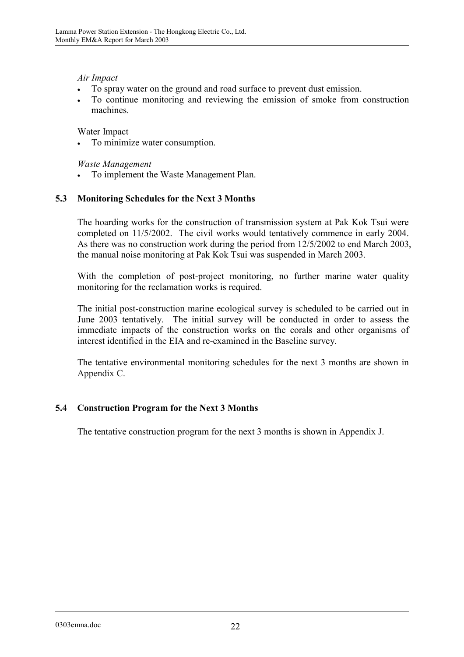*Air Impact* 

- $\bullet$ To spray water on the ground and road surface to prevent dust emission.
- $\ddot{\phantom{0}}$  To continue monitoring and reviewing the emission of smoke from construction machines.

Water Impact

-To minimize water consumption.

*Waste Management* 

 $\bullet$ To implement the Waste Management Plan.

## **5.3 Monitoring Schedules for the Next 3 Months**

The hoarding works for the construction of transmission system at Pak Kok Tsui were completed on 11/5/2002. The civil works would tentatively commence in early 2004. As there was no construction work during the period from 12/5/2002 to end March 2003, the manual noise monitoring at Pak Kok Tsui was suspended in March 2003.

With the completion of post-project monitoring, no further marine water quality monitoring for the reclamation works is required.

The initial post-construction marine ecological survey is scheduled to be carried out in June 2003 tentatively. The initial survey will be conducted in order to assess the immediate impacts of the construction works on the corals and other organisms of interest identified in the EIA and re-examined in the Baseline survey.

The tentative environmental monitoring schedules for the next 3 months are shown in Appendix C.

## **5.4 Construction Program for the Next 3 Months**

The tentative construction program for the next 3 months is shown in Appendix J.